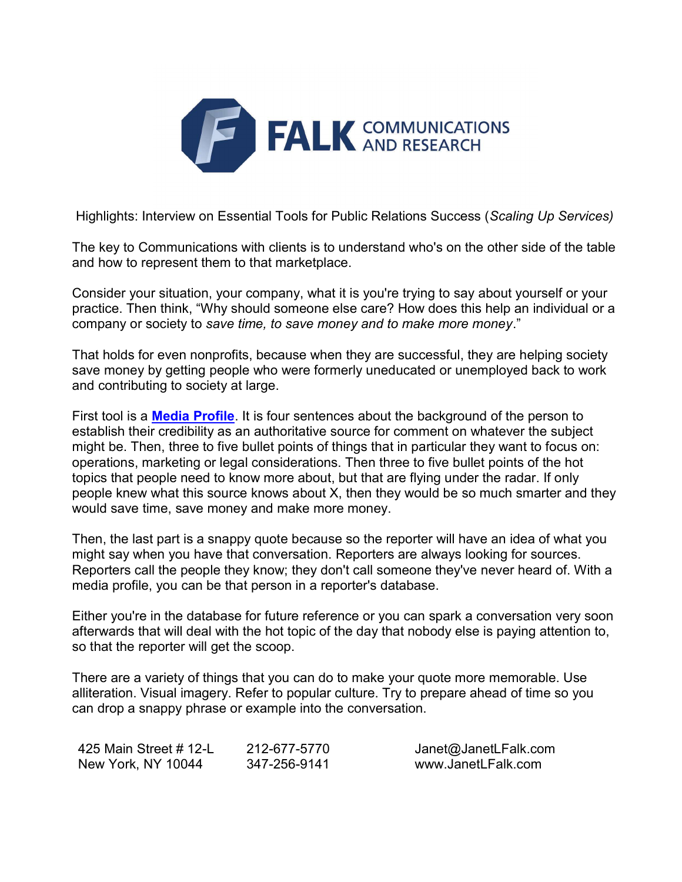

Highlights: Interview on Essential Tools for Public Relations Success (Scaling Up Services)

The key to Communications with clients is to understand who's on the other side of the table and how to represent them to that marketplace.

Consider your situation, your company, what it is you're trying to say about yourself or your practice. Then think, "Why should someone else care? How does this help an individual or a company or society to save time, to save money and to make more money."

That holds for even nonprofits, because when they are successful, they are helping society save money by getting people who were formerly uneducated or unemployed back to work and contributing to society at large.

First tool is a **Media Profile**. It is four sentences about the background of the person to establish their credibility as an authoritative source for comment on whatever the subject might be. Then, three to five bullet points of things that in particular they want to focus on: operations, marketing or legal considerations. Then three to five bullet points of the hot topics that people need to know more about, but that are flying under the radar. If only people knew what this source knows about X, then they would be so much smarter and they would save time, save money and make more money.

Then, the last part is a snappy quote because so the reporter will have an idea of what you might say when you have that conversation. Reporters are always looking for sources. Reporters call the people they know; they don't call someone they've never heard of. With a media profile, you can be that person in a reporter's database.

Either you're in the database for future reference or you can spark a conversation very soon afterwards that will deal with the hot topic of the day that nobody else is paying attention to, so that the reporter will get the scoop.

There are a variety of things that you can do to make your quote more memorable. Use alliteration. Visual imagery. Refer to popular culture. Try to prepare ahead of time so you can drop a snappy phrase or example into the conversation.

| 425 Main Street # 12-L | 212-677-5770 | Janet@JanetLFalk.com |
|------------------------|--------------|----------------------|
| New York, NY 10044     | 347-256-9141 | www.JanetLFalk.com   |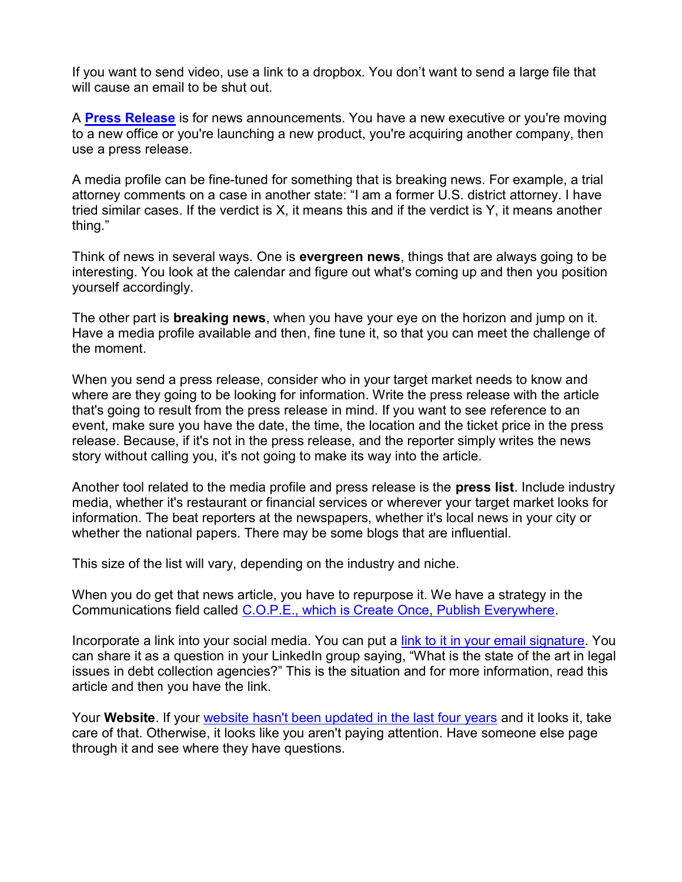If you want to send video, use a link to a dropbox. You don't want to send a large file that will cause an email to be shut out.

A Press Release is for news announcements. You have a new executive or you're moving to a new office or you're launching a new product, you're acquiring another company, then use a press release.

A media profile can be fine-tuned for something that is breaking news. For example, a trial attorney comments on a case in another state: "I am a former U.S. district attorney. I have tried similar cases. If the verdict is X, it means this and if the verdict is Y, it means another thing."

Think of news in several ways. One is evergreen news, things that are always going to be interesting. You look at the calendar and figure out what's coming up and then you position yourself accordingly.

The other part is **breaking news**, when you have your eye on the horizon and jump on it. Have a media profile available and then, fine tune it, so that you can meet the challenge of the moment.

When you send a press release, consider who in your target market needs to know and where are they going to be looking for information. Write the press release with the article that's going to result from the press release in mind. If you want to see reference to an event, make sure you have the date, the time, the location and the ticket price in the press release. Because, if it's not in the press release, and the reporter simply writes the news story without calling you, it's not going to make its way into the article.

Another tool related to the media profile and press release is the **press list**. Include industry media, whether it's restaurant or financial services or wherever your target market looks for information. The beat reporters at the newspapers, whether it's local news in your city or whether the national papers. There may be some blogs that are influential.

This size of the list will vary, depending on the industry and niche.

When you do get that news article, you have to repurpose it. We have a strategy in the Communications field called C.O.P.E., which is Create Once, Publish Everywhere.

Incorporate a link into your social media. You can put a link to it in your email signature. You can share it as a question in your LinkedIn group saying, "What is the state of the art in legal issues in debt collection agencies?" This is the situation and for more information, read this article and then you have the link.

Your Website. If your website hasn't been updated in the last four years and it looks it, take care of that. Otherwise, it looks like you aren't paying attention. Have someone else page through it and see where they have questions.